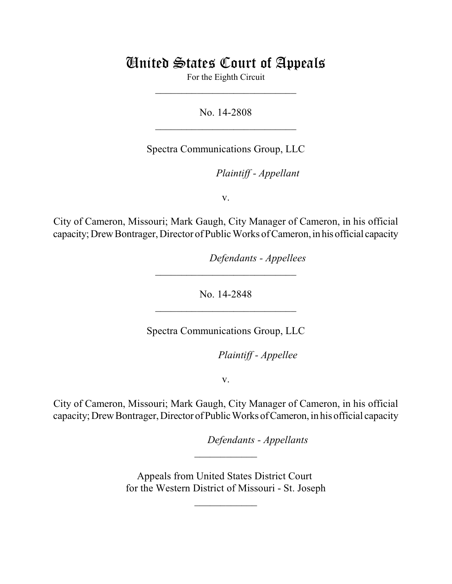# United States Court of Appeals

For the Eighth Circuit  $\mathcal{L}_\text{max}$  , which is a set of the set of the set of the set of the set of the set of the set of the set of the set of the set of the set of the set of the set of the set of the set of the set of the set of the set of

No. 14-2808  $\mathcal{L}_\text{max}$  , which is a set of the set of the set of the set of the set of the set of the set of the set of the set of the set of the set of the set of the set of the set of the set of the set of the set of the set of

Spectra Communications Group, LLC

lllllllllllllllllllll *Plaintiff - Appellant*

v.

City of Cameron, Missouri; Mark Gaugh, City Manager of Cameron, in his official capacity; Drew Bontrager, Director of Public Works of Cameron, in his official capacity

*Defendants - Appellees* 

No. 14-2848  $\mathcal{L}_\text{max}$  , which is a set of the set of the set of the set of the set of the set of the set of the set of the set of the set of the set of the set of the set of the set of the set of the set of the set of the set of

 $\mathcal{L}_\text{max}$  , which is a set of the set of the set of the set of the set of the set of the set of the set of the set of the set of the set of the set of the set of the set of the set of the set of the set of the set of

Spectra Communications Group, LLC

Plaintiff - Appellee

v.

City of Cameron, Missouri; Mark Gaugh, City Manager of Cameron, in his official capacity; Drew Bontrager, Director of Public Works of Cameron, in his official capacity

lllllllllllllllllllll *Defendants - Appellants*

Appeals from United States District Court for the Western District of Missouri - St. Joseph

 $\frac{1}{2}$ 

 $\frac{1}{2}$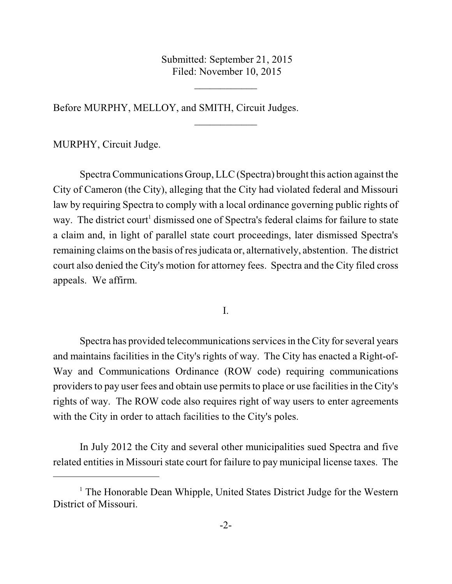Submitted: September 21, 2015 Filed: November 10, 2015

 $\frac{1}{2}$ 

 $\frac{1}{2}$ 

Before MURPHY, MELLOY, and SMITH, Circuit Judges.

MURPHY, Circuit Judge.

Spectra Communications Group, LLC (Spectra) brought this action against the City of Cameron (the City), alleging that the City had violated federal and Missouri law by requiring Spectra to comply with a local ordinance governing public rights of way. The district court<sup>1</sup> dismissed one of Spectra's federal claims for failure to state a claim and, in light of parallel state court proceedings, later dismissed Spectra's remaining claims on the basis of res judicata or, alternatively, abstention. The district court also denied the City's motion for attorney fees. Spectra and the City filed cross appeals. We affirm.

I.

Spectra has provided telecommunications services in the City for several years and maintains facilities in the City's rights of way. The City has enacted a Right-of-Way and Communications Ordinance (ROW code) requiring communications providers to pay user fees and obtain use permits to place or use facilities in the City's rights of way. The ROW code also requires right of way users to enter agreements with the City in order to attach facilities to the City's poles.

In July 2012 the City and several other municipalities sued Spectra and five related entities in Missouri state court for failure to pay municipal license taxes. The

 $<sup>1</sup>$  The Honorable Dean Whipple, United States District Judge for the Western</sup> District of Missouri.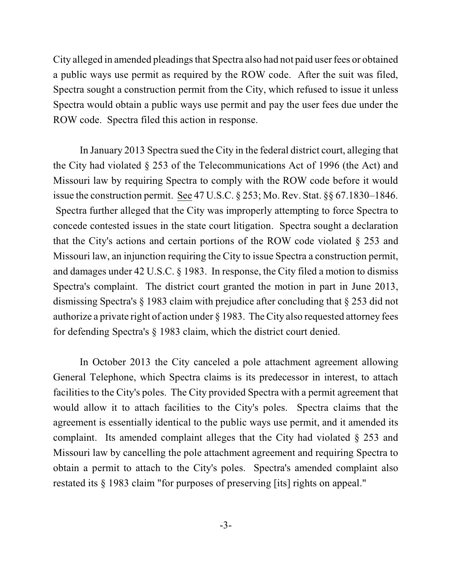City alleged in amended pleadings that Spectra also had not paid user fees or obtained a public ways use permit as required by the ROW code. After the suit was filed, Spectra sought a construction permit from the City, which refused to issue it unless Spectra would obtain a public ways use permit and pay the user fees due under the ROW code. Spectra filed this action in response.

In January 2013 Spectra sued the City in the federal district court, alleging that the City had violated § 253 of the Telecommunications Act of 1996 (the Act) and Missouri law by requiring Spectra to comply with the ROW code before it would issue the construction permit. See 47 U.S.C. § 253; Mo. Rev. Stat. §§ 67.1830–1846. Spectra further alleged that the City was improperly attempting to force Spectra to concede contested issues in the state court litigation. Spectra sought a declaration that the City's actions and certain portions of the ROW code violated § 253 and Missouri law, an injunction requiring the City to issue Spectra a construction permit, and damages under 42 U.S.C. § 1983. In response, the City filed a motion to dismiss Spectra's complaint. The district court granted the motion in part in June 2013, dismissing Spectra's § 1983 claim with prejudice after concluding that § 253 did not authorize a private right of action under § 1983. The City also requested attorney fees for defending Spectra's § 1983 claim, which the district court denied.

In October 2013 the City canceled a pole attachment agreement allowing General Telephone, which Spectra claims is its predecessor in interest, to attach facilities to the City's poles. The City provided Spectra with a permit agreement that would allow it to attach facilities to the City's poles. Spectra claims that the agreement is essentially identical to the public ways use permit, and it amended its complaint. Its amended complaint alleges that the City had violated § 253 and Missouri law by cancelling the pole attachment agreement and requiring Spectra to obtain a permit to attach to the City's poles. Spectra's amended complaint also restated its § 1983 claim "for purposes of preserving [its] rights on appeal."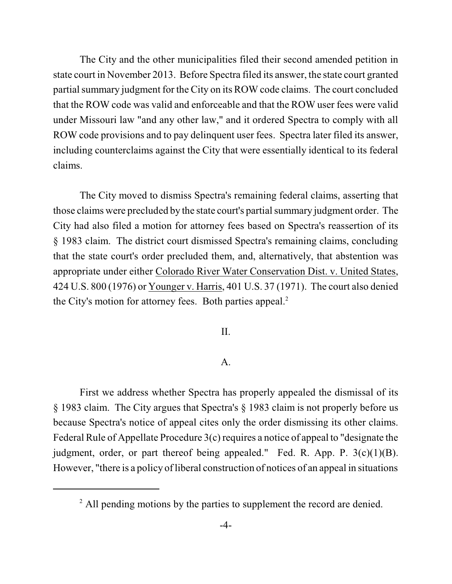The City and the other municipalities filed their second amended petition in state court in November 2013. Before Spectra filed its answer, the state court granted partial summary judgment for the City on its ROW code claims. The court concluded that the ROW code was valid and enforceable and that the ROW user fees were valid under Missouri law "and any other law," and it ordered Spectra to comply with all ROW code provisions and to pay delinquent user fees. Spectra later filed its answer, including counterclaims against the City that were essentially identical to its federal claims.

The City moved to dismiss Spectra's remaining federal claims, asserting that those claims were precluded by the state court's partial summary judgment order. The City had also filed a motion for attorney fees based on Spectra's reassertion of its § 1983 claim. The district court dismissed Spectra's remaining claims, concluding that the state court's order precluded them, and, alternatively, that abstention was appropriate under either Colorado River Water Conservation Dist. v. United States, 424 U.S. 800 (1976) or Younger v. Harris, 401 U.S. 37 (1971). The court also denied the City's motion for attorney fees. Both parties appeal. 2

#### II.

## A.

First we address whether Spectra has properly appealed the dismissal of its § 1983 claim. The City argues that Spectra's § 1983 claim is not properly before us because Spectra's notice of appeal cites only the order dismissing its other claims. Federal Rule of Appellate Procedure 3(c) requires a notice of appeal to "designate the judgment, order, or part thereof being appealed." Fed. R. App. P.  $3(c)(1)(B)$ . However, "there is a policy of liberal construction of notices of an appeal in situations

<sup>&</sup>lt;sup>2</sup> All pending motions by the parties to supplement the record are denied.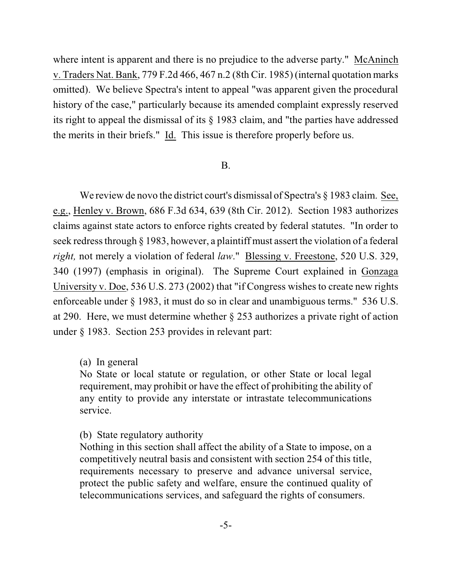where intent is apparent and there is no prejudice to the adverse party." McAninch v. Traders Nat. Bank, 779 F.2d 466, 467 n.2 (8th Cir. 1985) (internal quotation marks omitted). We believe Spectra's intent to appeal "was apparent given the procedural history of the case," particularly because its amended complaint expressly reserved its right to appeal the dismissal of its § 1983 claim, and "the parties have addressed the merits in their briefs." Id. This issue is therefore properly before us.

## B.

We review de novo the district court's dismissal of Spectra's § 1983 claim. See, e.g., Henley v. Brown, 686 F.3d 634, 639 (8th Cir. 2012). Section 1983 authorizes claims against state actors to enforce rights created by federal statutes. "In order to seek redress through § 1983, however, a plaintiff must assert the violation of a federal *right,* not merely a violation of federal *law*." Blessing v. Freestone, 520 U.S. 329, 340 (1997) (emphasis in original). The Supreme Court explained in Gonzaga University v. Doe, 536 U.S. 273 (2002) that "if Congress wishes to create new rights enforceable under § 1983, it must do so in clear and unambiguous terms." 536 U.S. at 290. Here, we must determine whether § 253 authorizes a private right of action under § 1983. Section 253 provides in relevant part:

## (a) In general

No State or local statute or regulation, or other State or local legal requirement, may prohibit or have the effect of prohibiting the ability of any entity to provide any interstate or intrastate telecommunications service.

## (b) State regulatory authority

Nothing in this section shall affect the ability of a State to impose, on a competitively neutral basis and consistent with section 254 of this title, requirements necessary to preserve and advance universal service, protect the public safety and welfare, ensure the continued quality of telecommunications services, and safeguard the rights of consumers.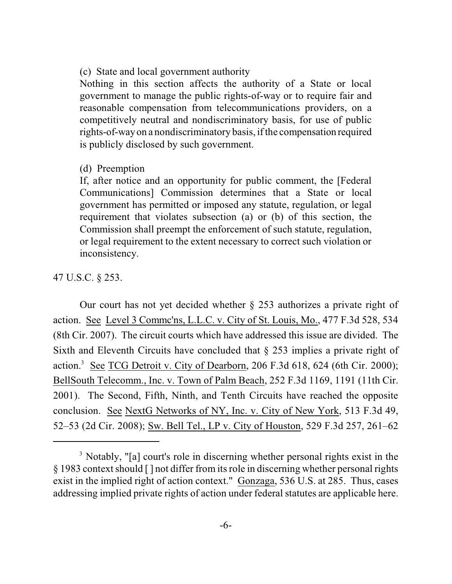(c) State and local government authority

Nothing in this section affects the authority of a State or local government to manage the public rights-of-way or to require fair and reasonable compensation from telecommunications providers, on a competitively neutral and nondiscriminatory basis, for use of public rights-of-wayon a nondiscriminatory basis, if the compensation required is publicly disclosed by such government.

#### (d) Preemption

If, after notice and an opportunity for public comment, the [Federal Communications] Commission determines that a State or local government has permitted or imposed any statute, regulation, or legal requirement that violates subsection (a) or (b) of this section, the Commission shall preempt the enforcement of such statute, regulation, or legal requirement to the extent necessary to correct such violation or inconsistency.

47 U.S.C. § 253.

Our court has not yet decided whether § 253 authorizes a private right of action. See Level 3 Commc'ns, L.L.C. v. City of St. Louis, Mo., 477 F.3d 528, 534 (8th Cir. 2007). The circuit courts which have addressed this issue are divided. The Sixth and Eleventh Circuits have concluded that § 253 implies a private right of action.<sup>3</sup> See TCG Detroit v. City of Dearborn, 206 F.3d 618, 624 (6th Cir. 2000); BellSouth Telecomm., Inc. v. Town of Palm Beach, 252 F.3d 1169, 1191 (11th Cir. 2001). The Second, Fifth, Ninth, and Tenth Circuits have reached the opposite conclusion. See NextG Networks of NY, Inc. v. City of New York, 513 F.3d 49, 52–53 (2d Cir. 2008); Sw. Bell Tel., LP v. City of Houston, 529 F.3d 257, 261–62

<sup>&</sup>lt;sup>3</sup> Notably, "[a] court's role in discerning whether personal rights exist in the § 1983 context should [ ] not differ from its role in discerning whether personal rights exist in the implied right of action context." Gonzaga, 536 U.S. at 285. Thus, cases addressing implied private rights of action under federal statutes are applicable here.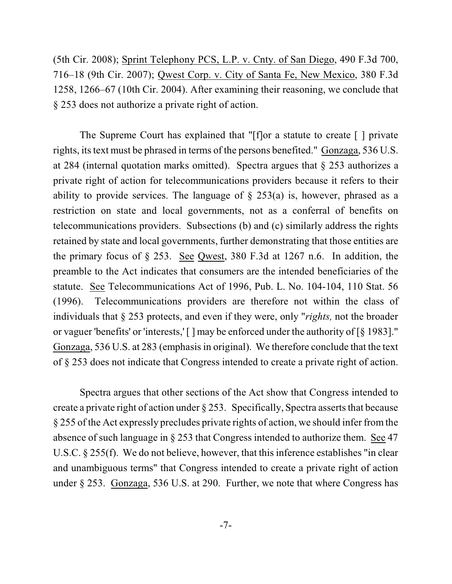(5th Cir. 2008); Sprint Telephony PCS, L.P. v. Cnty. of San Diego, 490 F.3d 700, 716–18 (9th Cir. 2007); Qwest Corp. v. City of Santa Fe, New Mexico, 380 F.3d 1258, 1266–67 (10th Cir. 2004). After examining their reasoning, we conclude that § 253 does not authorize a private right of action.

The Supreme Court has explained that "[f]or a statute to create [ ] private rights, its text must be phrased in terms of the persons benefited." Gonzaga, 536 U.S. at 284 (internal quotation marks omitted). Spectra argues that § 253 authorizes a private right of action for telecommunications providers because it refers to their ability to provide services. The language of  $\S$  253(a) is, however, phrased as a restriction on state and local governments, not as a conferral of benefits on telecommunications providers. Subsections (b) and (c) similarly address the rights retained by state and local governments, further demonstrating that those entities are the primary focus of § 253. See Qwest, 380 F.3d at 1267 n.6. In addition, the preamble to the Act indicates that consumers are the intended beneficiaries of the statute. See Telecommunications Act of 1996, Pub. L. No. 104-104, 110 Stat. 56 (1996). Telecommunications providers are therefore not within the class of individuals that § 253 protects, and even if they were, only "*rights,* not the broader or vaguer 'benefits' or 'interests,' [ ] may be enforced under the authority of [§ 1983]." Gonzaga, 536 U.S. at 283 (emphasis in original). We therefore conclude that the text of § 253 does not indicate that Congress intended to create a private right of action.

Spectra argues that other sections of the Act show that Congress intended to create a private right of action under  $\S 253$ . Specifically, Spectra asserts that because § 255 of the Act expressly precludes private rights of action, we should infer fromthe absence of such language in § 253 that Congress intended to authorize them. See 47 U.S.C. § 255(f). We do not believe, however, that this inference establishes "in clear and unambiguous terms" that Congress intended to create a private right of action under § 253. Gonzaga, 536 U.S. at 290. Further, we note that where Congress has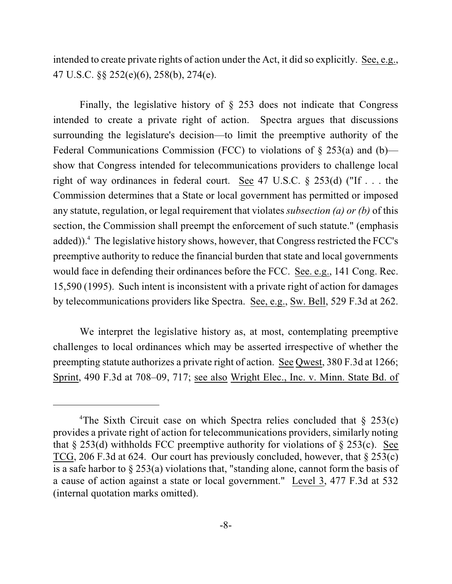intended to create private rights of action under the Act, it did so explicitly. See, e.g., 47 U.S.C. §§ 252(e)(6), 258(b), 274(e).

Finally, the legislative history of  $\S$  253 does not indicate that Congress intended to create a private right of action. Spectra argues that discussions surrounding the legislature's decision—to limit the preemptive authority of the Federal Communications Commission (FCC) to violations of  $\S$  253(a) and (b) show that Congress intended for telecommunications providers to challenge local right of way ordinances in federal court. See 47 U.S.C. § 253(d) ("If . . . the Commission determines that a State or local government has permitted or imposed any statute, regulation, or legal requirement that violates *subsection (a) or (b)* of this section, the Commission shall preempt the enforcement of such statute." (emphasis added)). $\textsuperscript{4}$  The legislative history shows, however, that Congress restricted the FCC's preemptive authority to reduce the financial burden that state and local governments would face in defending their ordinances before the FCC. See. e.g., 141 Cong. Rec. 15,590 (1995). Such intent is inconsistent with a private right of action for damages by telecommunications providers like Spectra. See, e.g., Sw. Bell, 529 F.3d at 262.

We interpret the legislative history as, at most, contemplating preemptive challenges to local ordinances which may be asserted irrespective of whether the preempting statute authorizes a private right of action. See Qwest, 380 F.3d at 1266; Sprint, 490 F.3d at 708–09, 717; see also Wright Elec., Inc. v. Minn. State Bd. of

<sup>&</sup>lt;sup>4</sup>The Sixth Circuit case on which Spectra relies concluded that  $\S$  253(c) provides a private right of action for telecommunications providers, similarly noting that  $\S 253(d)$  withholds FCC preemptive authority for violations of  $\S 253(c)$ . See TCG, 206 F.3d at 624. Our court has previously concluded, however, that § 253(c) is a safe harbor to § 253(a) violations that, "standing alone, cannot form the basis of a cause of action against a state or local government." Level 3, 477 F.3d at 532 (internal quotation marks omitted).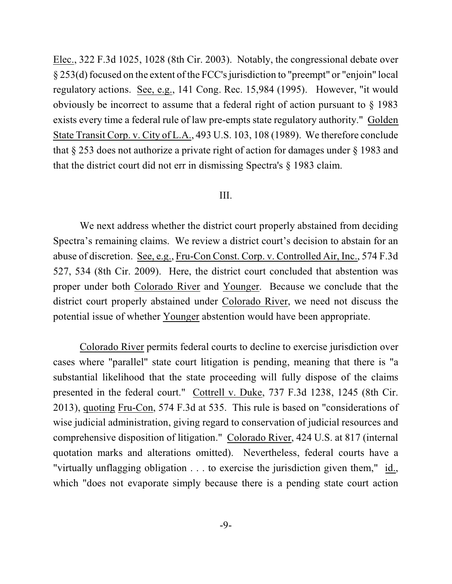Elec., 322 F.3d 1025, 1028 (8th Cir. 2003). Notably, the congressional debate over § 253(d)focused on the extent of the FCC's jurisdiction to "preempt" or "enjoin" local regulatory actions. See, e.g., 141 Cong. Rec. 15,984 (1995). However, "it would obviously be incorrect to assume that a federal right of action pursuant to § 1983 exists every time a federal rule of law pre-empts state regulatory authority." Golden State Transit Corp. v. City of L.A., 493 U.S. 103, 108 (1989). We therefore conclude that § 253 does not authorize a private right of action for damages under § 1983 and that the district court did not err in dismissing Spectra's § 1983 claim.

#### III.

We next address whether the district court properly abstained from deciding Spectra's remaining claims. We review a district court's decision to abstain for an abuse of discretion. See, e.g., Fru-Con Const. Corp. v. Controlled Air, Inc., 574 F.3d 527, 534 (8th Cir. 2009). Here, the district court concluded that abstention was proper under both Colorado River and Younger. Because we conclude that the district court properly abstained under Colorado River, we need not discuss the potential issue of whether Younger abstention would have been appropriate.

Colorado River permits federal courts to decline to exercise jurisdiction over cases where "parallel" state court litigation is pending, meaning that there is "a substantial likelihood that the state proceeding will fully dispose of the claims presented in the federal court." Cottrell v. Duke, 737 F.3d 1238, 1245 (8th Cir. 2013), quoting Fru-Con, 574 F.3d at 535. This rule is based on "considerations of wise judicial administration, giving regard to conservation of judicial resources and comprehensive disposition of litigation." Colorado River, 424 U.S. at 817 (internal quotation marks and alterations omitted). Nevertheless, federal courts have a "virtually unflagging obligation . . . to exercise the jurisdiction given them," id., which "does not evaporate simply because there is a pending state court action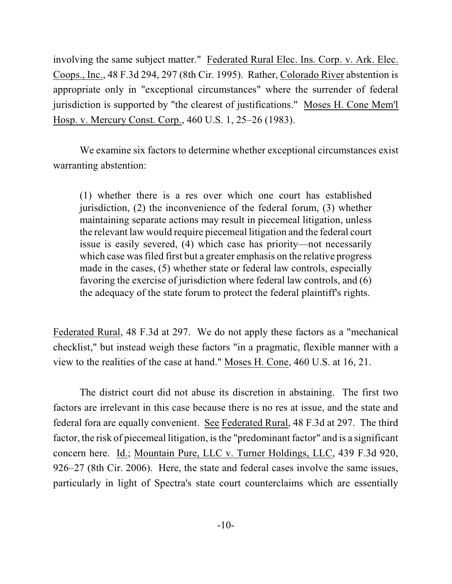involving the same subject matter." Federated Rural Elec. Ins. Corp. v. Ark. Elec. Coops., Inc., 48 F.3d 294, 297 (8th Cir. 1995). Rather, Colorado River abstention is appropriate only in "exceptional circumstances" where the surrender of federal jurisdiction is supported by "the clearest of justifications." Moses H. Cone Mem'l Hosp. v. Mercury Const. Corp., 460 U.S. 1, 25–26 (1983).

We examine six factors to determine whether exceptional circumstances exist warranting abstention:

(1) whether there is a res over which one court has established jurisdiction, (2) the inconvenience of the federal forum, (3) whether maintaining separate actions may result in piecemeal litigation, unless the relevant law would require piecemeal litigation and the federal court issue is easily severed, (4) which case has priority—not necessarily which case was filed first but a greater emphasis on the relative progress made in the cases, (5) whether state or federal law controls, especially favoring the exercise of jurisdiction where federal law controls, and (6) the adequacy of the state forum to protect the federal plaintiff's rights.

Federated Rural, 48 F.3d at 297. We do not apply these factors as a "mechanical checklist," but instead weigh these factors "in a pragmatic, flexible manner with a view to the realities of the case at hand." Moses H. Cone, 460 U.S. at 16, 21.

The district court did not abuse its discretion in abstaining. The first two factors are irrelevant in this case because there is no res at issue, and the state and federal fora are equally convenient. See Federated Rural, 48 F.3d at 297. The third factor, the risk of piecemeal litigation, is the "predominant factor" and is a significant concern here. Id.; Mountain Pure, LLC v. Turner Holdings, LLC, 439 F.3d 920, 926–27 (8th Cir. 2006). Here, the state and federal cases involve the same issues, particularly in light of Spectra's state court counterclaims which are essentially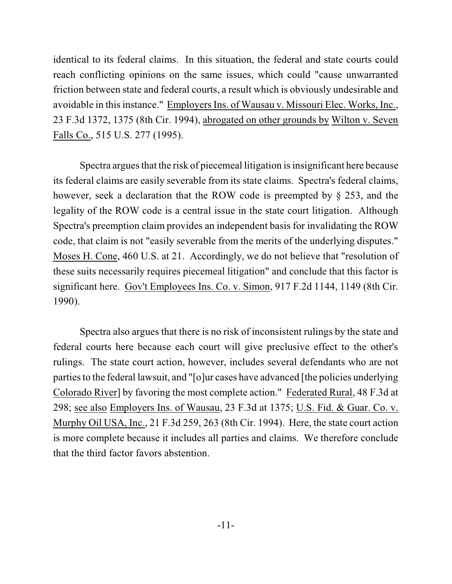identical to its federal claims. In this situation, the federal and state courts could reach conflicting opinions on the same issues, which could "cause unwarranted friction between state and federal courts, a result which is obviously undesirable and avoidable in this instance." Employers Ins. of Wausau v. Missouri Elec. Works, Inc., 23 F.3d 1372, 1375 (8th Cir. 1994), abrogated on other grounds by Wilton v. Seven Falls Co., 515 U.S. 277 (1995).

Spectra argues that the risk of piecemeal litigation is insignificant here because its federal claims are easily severable from its state claims. Spectra's federal claims, however, seek a declaration that the ROW code is preempted by § 253, and the legality of the ROW code is a central issue in the state court litigation. Although Spectra's preemption claim provides an independent basis for invalidating the ROW code, that claim is not "easily severable from the merits of the underlying disputes." Moses H. Cone, 460 U.S. at 21. Accordingly, we do not believe that "resolution of these suits necessarily requires piecemeal litigation" and conclude that this factor is significant here. Gov't Employees Ins. Co. v. Simon, 917 F.2d 1144, 1149 (8th Cir. 1990).

Spectra also argues that there is no risk of inconsistent rulings by the state and federal courts here because each court will give preclusive effect to the other's rulings. The state court action, however, includes several defendants who are not partiesto the federal lawsuit, and "[o]ur cases have advanced [the policies underlying Colorado River] by favoring the most complete action." Federated Rural, 48 F.3d at 298; see also Employers Ins. of Wausau, 23 F.3d at 1375; U.S. Fid. & Guar. Co. v. Murphy Oil USA, Inc., 21 F.3d 259, 263 (8th Cir. 1994). Here, the state court action is more complete because it includes all parties and claims. We therefore conclude that the third factor favors abstention.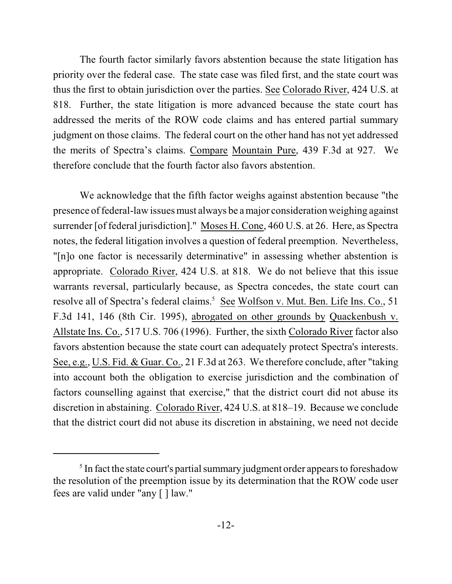The fourth factor similarly favors abstention because the state litigation has priority over the federal case. The state case was filed first, and the state court was thus the first to obtain jurisdiction over the parties. See Colorado River, 424 U.S. at 818. Further, the state litigation is more advanced because the state court has addressed the merits of the ROW code claims and has entered partial summary judgment on those claims. The federal court on the other hand has not yet addressed the merits of Spectra's claims. Compare Mountain Pure, 439 F.3d at 927. We therefore conclude that the fourth factor also favors abstention.

We acknowledge that the fifth factor weighs against abstention because "the presence of federal-law issues must always be a major consideration weighing against surrender [of federal jurisdiction]." Moses H. Cone, 460 U.S. at 26. Here, as Spectra notes, the federal litigation involves a question of federal preemption. Nevertheless, "[n]o one factor is necessarily determinative" in assessing whether abstention is appropriate. Colorado River, 424 U.S. at 818. We do not believe that this issue warrants reversal, particularly because, as Spectra concedes, the state court can resolve all of Spectra's federal claims.<sup>5</sup> See Wolfson v. Mut. Ben. Life Ins. Co., 51 F.3d 141, 146 (8th Cir. 1995), abrogated on other grounds by Quackenbush v. Allstate Ins. Co., 517 U.S. 706 (1996). Further, the sixth Colorado River factor also favors abstention because the state court can adequately protect Spectra's interests. See, e.g., U.S. Fid. & Guar. Co., 21 F.3d at 263. We therefore conclude, after "taking into account both the obligation to exercise jurisdiction and the combination of factors counselling against that exercise," that the district court did not abuse its discretion in abstaining. Colorado River, 424 U.S. at 818–19. Because we conclude that the district court did not abuse its discretion in abstaining, we need not decide

 $<sup>5</sup>$  In fact the state court's partial summary judgment order appears to foreshadow</sup> the resolution of the preemption issue by its determination that the ROW code user fees are valid under "any [ ] law."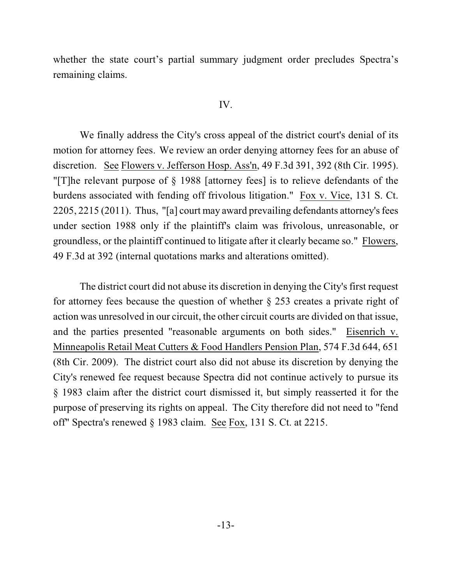whether the state court's partial summary judgment order precludes Spectra's remaining claims.

#### IV.

We finally address the City's cross appeal of the district court's denial of its motion for attorney fees. We review an order denying attorney fees for an abuse of discretion. See Flowers v. Jefferson Hosp. Ass'n, 49 F.3d 391, 392 (8th Cir. 1995). "[T]he relevant purpose of § 1988 [attorney fees] is to relieve defendants of the burdens associated with fending off frivolous litigation." Fox v. Vice, 131 S. Ct. 2205, 2215 (2011). Thus, "[a] court may award prevailing defendants attorney's fees under section 1988 only if the plaintiff's claim was frivolous, unreasonable, or groundless, or the plaintiff continued to litigate after it clearly became so." Flowers, 49 F.3d at 392 (internal quotations marks and alterations omitted).

The district court did not abuse its discretion in denying the City's first request for attorney fees because the question of whether § 253 creates a private right of action was unresolved in our circuit, the other circuit courts are divided on that issue, and the parties presented "reasonable arguments on both sides." Eisenrich v. Minneapolis Retail Meat Cutters & Food Handlers Pension Plan, 574 F.3d 644, 651 (8th Cir. 2009). The district court also did not abuse its discretion by denying the City's renewed fee request because Spectra did not continue actively to pursue its § 1983 claim after the district court dismissed it, but simply reasserted it for the purpose of preserving its rights on appeal. The City therefore did not need to "fend off" Spectra's renewed § 1983 claim. See Fox, 131 S. Ct. at 2215.